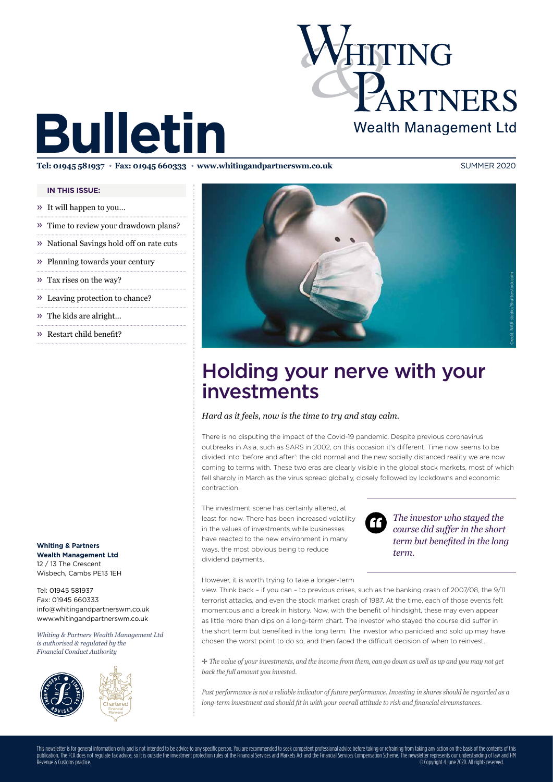

# **Bulletin**

**Tel: 01945 581937 Rax: 01945 660333 www.whitingandpartnerswm.co.uk** SUMMER 2020

### **IN THIS ISSUE:**

- » It will happen to you…
- » Time to review your drawdown plans?
- » National Savings hold off on rate cuts
- » Planning towards your century
- » Tax rises on the way?
- » Leaving protection to chance?
- » The kids are alright…
- » Restart child benefit?

**Whiting & Partners Wealth Management Ltd** 12 / 13 The Crescent Wisbech, Cambs PE13 1EH

Tel: 01945 581937 Fax: 01945 660333 info@whitingandpartnerswm.co.uk www.whitingandpartnerswm.co.uk

*Whiting & Partners Wealth Management Ltd is authorised & regulated by the Financial Conduct Authority*







# Holding your nerve with your investments

### *Hard as it feels, now is the time to try and stay calm.*

There is no disputing the impact of the Covid-19 pandemic. Despite previous coronavirus outbreaks in Asia, such as SARS in 2002, on this occasion it's different. Time now seems to be divided into 'before and after': the old normal and the new socially distanced reality we are now coming to terms with. These two eras are clearly visible in the global stock markets, most of which fell sharply in March as the virus spread globally, closely followed by lockdowns and economic contraction.

The investment scene has certainly altered, at least for now. There has been increased volatility in the values of investments while businesses have reacted to the new environment in many ways, the most obvious being to reduce dividend payments.



*The investor who stayed the course did suffer in the short term but benefited in the long term.*

However, it is worth trying to take a longer-term

view. Think back – if you can – to previous crises, such as the banking crash of 2007/08, the 9/11 terrorist attacks, and even the stock market crash of 1987. At the time, each of those events felt momentous and a break in history. Now, with the benefit of hindsight, these may even appear as little more than dips on a long-term chart. The investor who stayed the course did suffer in the short term but benefited in the long term. The investor who panicked and sold up may have chosen the worst point to do so, and then faced the difficult decision of when to reinvest.

B *The value of your investments, and the income from them, can go down as well as up and you may not get back the full amount you invested.* 

*Past performance is not a reliable indicator of future performance. Investing in shares should be regarded as a long-term investment and should fit in with your overall attitude to risk and financial circumstances.*

This newsletter is for general information only and is not intended to be advice to any specific person. You are recommended to seek competent professional advice before taking or refraining from taking any action on the b publication. The FCA does not regulate tax advice, so it is outside the investment protection rules of the Financial Services and Markets Act and the Financial Services Compensation Scheme. The newsletter represents our un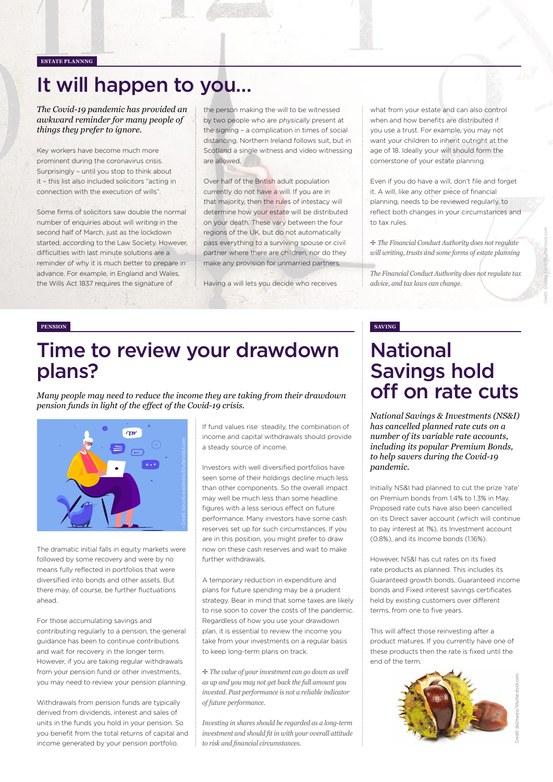### **ESTATE PLANNNG**

# It will happen to you…

*The Covid-19 pandemic has provided an awkward reminder for many people of things they prefer to ignore.* 

Key workers have become much more prominent during the coronavirus crisis. Surprisingly – until you stop to think about it – this list also included solicitors "acting in connection with the execution of wills".

Some firms of solicitors saw double the normal number of enquiries about will writing in the second half of March, just as the lockdown started, according to the Law Society. However, difficulties with last minute solutions are a reminder of why it is much better to prepare in advance. For example, in England and Wales, the Wills Act 1837 requires the signature of

the person making the will to be witnessed by two people who are physically present at the signing – a complication in times of social distancing. Northern Ireland follows suit, but in Scotland a single witness and video witnessing are allowed.

Over half of the British adult population currently do not have a will. If you are in that majority, then the rules of intestacy will determine how your estate will be distributed on your death. These vary between the four regions of the UK, but do not automatically pass everything to a surviving spouse or civil partner where there are children, nor do they make any provision for unmarried partners.

Having a will lets you decide who receives

what from your estate and can also control when and how benefits are distributed if you use a trust. For example, you may not want your children to inherit outright at the age of 18. Ideally your will should form the cornerstone of your estate planning.

Even if you do have a will, don't file and forget it. A will, like any other piece of financial planning, needs to be reviewed regularly, to reflect both changes in your circumstances and to tax rules.

B *The Financial Conduct Authority does not regulate will writing, trusts and some forms of estate planning* 

*The Financial Conduct Authority does not regulate tax advice, and tax laws can change.* 

### **PENSION SAVING**

### Time to review your drawdown plans?

*Many people may need to reduce the income they are taking from their drawdown pension funds in light of the effect of the Covid-19 crisis.* 



The dramatic initial falls in equity markets were followed by some recovery and were by no means fully reflected in portfolios that were diversified into bonds and other assets. But there may, of course, be further fluctuations ahead.

For those accumulating savings and contributing regularly to a pension, the general guidance has been to continue contributions and wait for recovery in the longer term. However, if you are taking regular withdrawals from your pension fund or other investments, you may need to review your pension planning.

Withdrawals from pension funds are typically derived from dividends, interest and sales of units in the funds you hold in your pension. So you benefit from the total returns of capital and income generated by your pension portfolio.

If fund values rise steadily, the combination of income and capital withdrawals should provide a steady source of income.

Investors with well diversified portfolios have seen some of their holdings decline much less than other components. So the overall impact may well be much less than some headline figures with a less serious effect on future performance. Many investors have some cash reserves set up for such circumstances. If you are in this position, you might prefer to draw now on these cash reserves and wait to make further withdrawals.

A temporary reduction in expenditure and plans for future spending may be a prudent strategy. Bear in mind that some taxes are likely to rise soon to cover the costs of the pandemic. Regardless of how you use your drawdown plan, it is essential to review the income you take from your investments on a regular basis to keep long-term plans on track.

B *The value of your investment can go down as well as up and you may not get back the full amount you invested. Past performance is not a reliable indicator of future performance.* 

*Investing in shares should be regarded as a long-term investment and should fit in with your overall attitude to risk and financial circumstances.*

# National Savings hold off on rate cuts

*National Savings & Investments (NS&I) has cancelled planned rate cuts on a number of its variable rate accounts, including its popular Premium Bonds, to help savers during the Covid-19 pandemic.*

Initially NS&I had planned to cut the prize 'rate' on Premium bonds from 1.4% to 1.3% in May. Proposed rate cuts have also been cancelled on its Direct saver account (which will continue to pay interest at 1%), its Investment account (0.8%), and its Income bonds (1.16%).

However, NS&I has cut rates on its fixed rate products as planned. This includes its Guaranteed growth bonds, Guaranteed income bonds and Fixed interest savings certificates held by existing customers over different terms, from one to five years.

This will affect those reinvesting after a product matures. If you currently have one of these products then the rate is fixed until the end of the term.

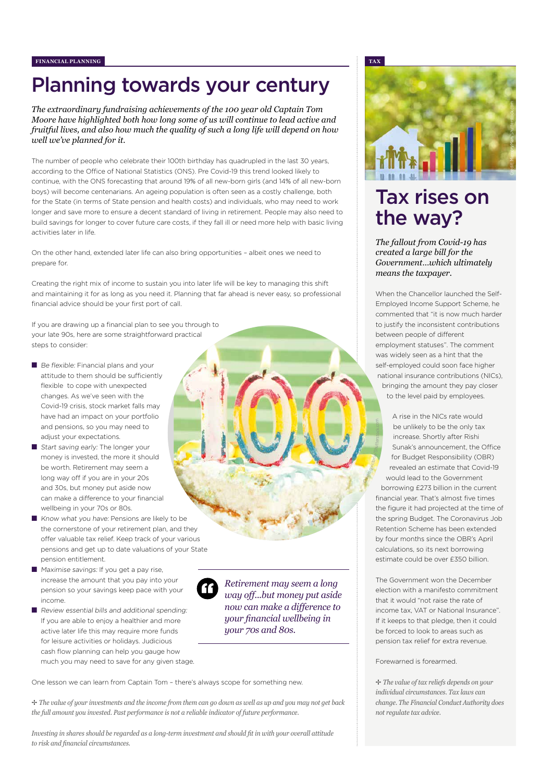# Planning towards your century

*The extraordinary fundraising achievements of the 100 year old Captain Tom Moore have highlighted both how long some of us will continue to lead active and fruitful lives, and also how much the quality of such a long life will depend on how well we've planned for it.* 

The number of people who celebrate their 100th birthday has quadrupled in the last 30 years, according to the Office of National Statistics (ONS). Pre Covid-19 this trend looked likely to continue, with the ONS forecasting that around 19% of all new-born girls (and 14% of all new-born boys) will become centenarians. An ageing population is often seen as a costly challenge, both for the State (in terms of State pension and health costs) and individuals, who may need to work longer and save more to ensure a decent standard of living in retirement. People may also need to build savings for longer to cover future care costs, if they fall ill or need more help with basic living activities later in life.

On the other hand, extended later life can also bring opportunities – albeit ones we need to prepare for.

Creating the right mix of income to sustain you into later life will be key to managing this shift and maintaining it for as long as you need it. Planning that far ahead is never easy, so professional financial advice should be your first port of call.

If you are drawing up a financial plan to see you through to your late 90s, here are some straightforward practical steps to consider:

- Be flexible: Financial plans and your attitude to them should be sufficiently flexible to cope with unexpected changes. As we've seen with the Covid-19 crisis, stock market falls may have had an impact on your portfolio and pensions, so you may need to adjust your expectations.
- Start saving early: The longer your money is invested, the more it should be worth. Retirement may seem a long way off if you are in your 20s and 30s, but money put aside now can make a difference to your financial wellbeing in your 70s or 80s.
- Know what you have: Pensions are likely to be the cornerstone of your retirement plan, and they offer valuable tax relief. Keep track of your various pensions and get up to date valuations of your State pension entitlement.
- Maximise savings: If you get a pay rise, increase the amount that you pay into your pension so your savings keep pace with your income.
- Review essential bills and additional spending: If you are able to enjoy a healthier and more active later life this may require more funds for leisure activities or holidays. Judicious cash flow planning can help you gauge how much you may need to save for any given stage.



*Retirement may seem a long way off...but money put aside now can make a difference to your financial wellbeing in your 70s and 80s.*

One lesson we can learn from Captain Tom – there's always scope for something new.

B *The value of your investments and the income from them can go down as well as up and you may not get back the full amount you invested. Past performance is not a reliable indicator of future performance.* 

*Investing in shares should be regarded as a long-term investment and should fit in with your overall attitude to risk and financial circumstances.*



# Tax rises on the way?

*The fallout from Covid-19 has created a large bill for the Government…which ultimately means the taxpayer.* 

When the Chancellor launched the Self-Employed Income Support Scheme, he commented that "it is now much harder to justify the inconsistent contributions between people of different employment statuses". The comment was widely seen as a hint that the self-employed could soon face higher national insurance contributions (NICs), bringing the amount they pay closer to the level paid by employees.

A rise in the NICs rate would be unlikely to be the only tax increase. Shortly after Rishi Sunak's announcement, the Office for Budget Responsibility (OBR) revealed an estimate that Covid-19 would lead to the Government borrowing £273 billion in the current financial year. That's almost five times the figure it had projected at the time of the spring Budget. The Coronavirus Job Retention Scheme has been extended by four months since the OBR's April calculations, so its next borrowing estimate could be over £350 billion. Credit: gwictoria/Shutterstock.com

The Government won the December election with a manifesto commitment that it would "not raise the rate of income tax, VAT or National Insurance". If it keeps to that pledge, then it could be forced to look to areas such as pension tax relief for extra revenue.

### Forewarned is forearmed.

B *The value of tax reliefs depends on your individual circumstances. Tax laws can change. The Financial Conduct Authority does not regulate tax advice.*